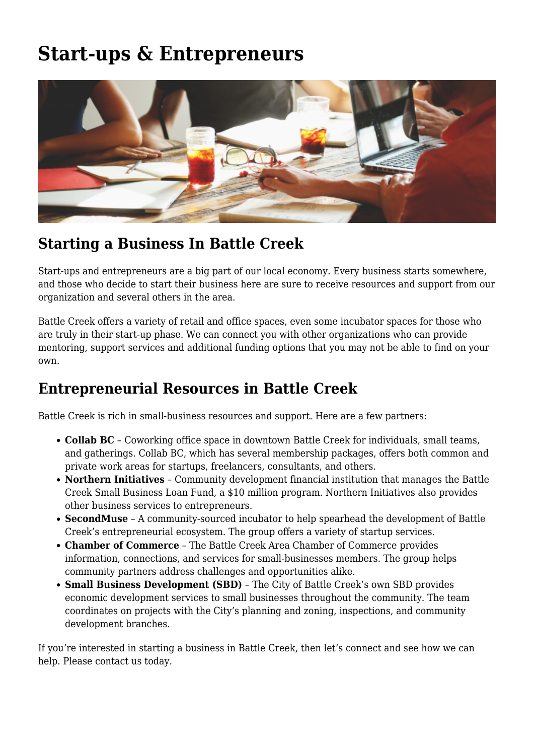## **[Start-ups & Entrepreneurs](https://bcunlimited.org/business-resources/start-ups-entrepreneurs/)**



## **Starting a Business In Battle Creek**

Start-ups and entrepreneurs are a big part of our local economy. Every business starts somewhere, and those who decide to start their business here are sure to receive resources and support from our organization and several others in the area.

Battle Creek offers a variety of retail and office spaces, even some incubator spaces for those who are truly in their start-up phase. We can connect you with other organizations who can provide mentoring, support services and additional funding options that you may not be able to find on your own.

## **Entrepreneurial Resources in Battle Creek**

Battle Creek is rich in small-business resources and support. Here are a few partners:

- **[Collab BC](https://collabbc.com/)** Coworking office space in downtown Battle Creek for individuals, small teams, and gatherings. Collab BC, which has several membership packages, offers both common and private work areas for startups, freelancers, consultants, and others.
- **[Northern Initiatives](https://northerninitiatives.org/)** Community development financial institution that manages the Battle Creek Small Business Loan Fund, a \$10 million program. Northern Initiatives also provides other business services to entrepreneurs.
- **[SecondMuse](https://www.secondmuse.com/)** [–](https://www.secondmuse.com/) A community-sourced incubator to help spearhead the development of Battle Creek's entrepreneurial ecosystem. The group offers a variety of startup services.
- **[Chamber of Commerce](https://battlecreek.org/)** The Battle Creek Area Chamber of Commerce provides information, connections, and services for small-businesses members. The group helps community partners address challenges and opportunities alike.
- **[Small Business Development \(SBD\)](https://www.battlecreekmi.gov/703/Small-Business-Development)** The City of Battle Creek's own SBD provides economic development services to small businesses throughout the community. The team coordinates on projects with the City's planning and zoning, inspections, and community development branches.

If you're interested in starting a business in Battle Creek, then let's connect and see how we can help. Please [contact us](https://bcunlimited.wpengine.com/about-us/contact-us/) today.